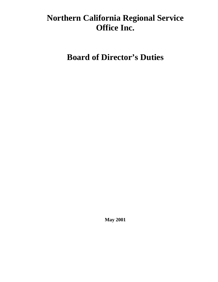# **Northern California Regional Service Office Inc.**

**Board of Director's Duties** 

**May 2001**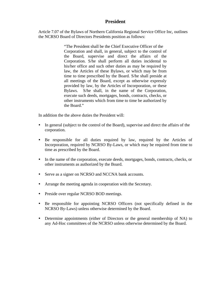#### **President**

Article 7.07 of the Bylaws of Northern California Regional Service Office Inc, outlines the NCRSO Board of Directors Presidents position as follows:

> "The President shall be the Chief Executive Officer of the Corporation and shall, in general, subject to the control of the Board, supervise and direct the affairs of the Corporation. S/he shall perform all duties incidental to his/her office and such other duties as may be required by law, the Articles of these Bylaws, or which may be from time to time prescribed by the Board. S/he shall preside at all meetings of the Board, except as otherwise expressly provided by law, by the Articles of Incorporation, or these Bylaws. S/he shall, in the name of the Corporation, execute such deeds, mortgages, bonds, contracts, checks, or other instruments which from time to time be authorized by the Board."

In addition the the above duties the President will:

- In general (subject to the control of the Board), supervise and direct the affairs of the corporation.
- Be responsible for all duties required by law, required by the Articles of Incorporation, required by NCRSO By-Laws, or which may be required from time to time as prescribed by the Board.
- In the name of the corporation, execute deeds, mortgages, bonds, contracts, checks, or other instruments as authorized by the Board.
- Serve as a signer on NCRSO and NCCNA bank accounts.
- Arrange the meeting agenda in cooperation with the Secretary.
- Preside over regular NCRSO BOD meetings.
- y Be responsible for appointing NCRSO Officers (not specifically defined in the NCRSO By-Laws) unless otherwise determined by the Board.
- Determine appointments (either of Directors or the general membership of NA) to any Ad-Hoc committees of the NCRSO unless otherwise determined by the Board.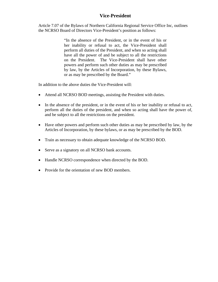## **Vice-President**

Article 7.07 of the Bylaws of Northern California Regional Service Office Inc, outlines the NCRSO Board of Directors Vice-President's position as follows:

> "In the absence of the President, or in the event of his or her inability or refusal to act, the Vice-President shall perform all duties of the President, and when so acting shall have all the power of and be subject to all the restrictions on the President. The Vice-President shall have other powers and perform such other duties as may be prescribed by law, by the Articles of Incorporation, by these Bylaws, or as may be prescribed by the Board."

In addition to the above duties the Vice-President will:

- Attend all NCRSO BOD meetings, assisting the President with duties.
- In the absence of the president, or in the event of his or her inability or refusal to act, perform all the duties of the president, and when so acting shall have the power of, and be subject to all the restrictions on the president.
- Have other powers and perform such other duties as may be prescribed by law, by the Articles of Incorporation, by these bylaws, or as may be prescribed by the BOD.
- Train as necessary to obtain adequate knowledge of the NCRSO BOD.
- Serve as a signatory on all NCRSO bank accounts.
- Handle NCRSO correspondence when directed by the BOD.
- Provide for the orientation of new BOD members.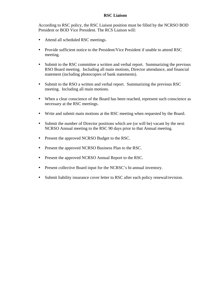#### **RSC Liaison**

According to RSC policy, the RSC Liaison position must be filled by the NCRSO BOD President or BOD Vice President. The RCS Liaison will:

- Attend all scheduled RSC meetings.
- Provide sufficient notice to the President/Vice President if unable to attend RSC meeting.
- Submit to the RSC committee a written and verbal report. Summarizing the previous RSO Board meeting. Including all main motions, Director attendance, and financial statement (including photocopies of bank statements).
- Submit to the RSO a written and verbal report. Summarizing the previous RSC meeting. Including all main motions.
- When a clear conscience of the Board has been reached, represent such conscience as necessary at the RSC meetings.
- Write and submit main motions at the RSC meeting when requested by the Board.
- Submit the number of Director positions which are (or will be) vacant by the next NCRSO Annual meeting to the RSC 90 days prior to that Annual meeting.
- Present the approved NCRSO Budget to the RSC.
- Present the approved NCRSO Business Plan to the RSC.
- Present the approved NCRSO Annual Report to the RSC.
- Present collective Board input for the NCRSC's bi-annual inventory.
- Submit liability insurance cover letter to RSC after each policy renewal/revision.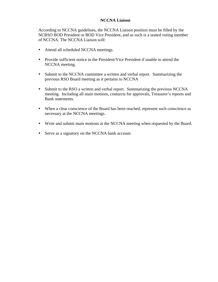#### **NCCNA Liaison**

According to NCCNA guidelines, the NCCNA Liaison position must be filled by the NCRSO BOD President or BOD Vice President, and as such is a seated voting member of NCCNA. The NCCNA Liaison will:

- Attend all scheduled NCCNA meetings.
- Provide sufficient notice to the President/Vice President if unable to attend the NCCNA meeting.
- Submit to the NCCNA committee a written and verbal report. Summarizing the previous RSO Board meeting as it pertains to NCCNA
- Submit to the RSO a written and verbal report. Summarizing the previous NCCNA meeting. Including all main motions, contarcts for approvals, Treasurer's reports and Bank statements.
- When a clear conscience of the Board has been reached, represent such conscience as necessary at the NCCNA meetings.
- Write and submit main motions at the NCCNA meeting when requested by the Board.
- Serve as a signatory on the NCCNA bank account.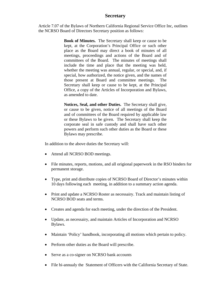#### **Secretary**

Article 7.07 of the Bylaws of Northern California Regional Service Office Inc, outlines the NCRSO Board of Directors Secretary position as follows:

> **Book of Minutes.** The Secretary shall keep or cause to be kept, at the Corporation's Principal Office or such other place as the Board may direct a book of minutes of all meetings, proceedings and actions of the Board and of committees of the Board. The minutes of meetings shall include the time and place that the meeting was held, whether the meeting was annual, regular, or special, and, if special, how authorized, the notice given, and the names of those present at Board and committee meetings. The Secretary shall keep or cause to be kept, at the Principal Office, a copy of the Articles of Incorporation and Bylaws, as amended to date.

> **Notices, Seal, and other Duties.** The Secretary shall give, or cause to be given, notice of all meetings of the Board and of committees of the Board required by applicable law or these Bylaws to be given. The Secretary shall keep the corporate seal in safe custody and shall have such other powers and perform such other duties as the Board or these Bylaws may prescribe.

In addition to the above duties the Secretary will:

- Attend all NCRSO BOD meetings.
- File minutes, reports, motions, and all origional paperwork in the RSO binders for permanent storage.
- Type, print and distribute copies of NCRSO Board of Director's minutes within 10 days following each meeting, in addition to a summary action agenda.
- Print and update a NCRSO Roster as necessairy. Track and maintain listing of NCRSO BOD seats and terms.
- Creates and agenda for each meeting, under the direction of the President.
- Update, as necessairy, and maintain Articles of Incorporation and NCRSO Bylaws.
- Maintain 'Policy' handbook, incorporating all motions which pertain to policy.
- Perform other duties as the Board will prescribe.
- Serve as a co-signer on NCRSO bank accounts
- File bi-annualy the Statement of Officers with the California Secretary of State.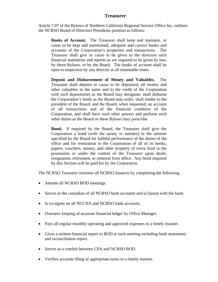#### **Treasurer**

Article 7.07 of the Bylaws of Northern California Regional Service Office Inc, outlines the NCRSO Board of Directors Presidents position as follows:

 **Books of Account.** The Treasurer shall keep and maintain, or cause to be kept and maintained, adequate and correct books and accounts of the Corporation's properties and transactions. The Treasurer shall give or cause to be given to the directors such financial statements and reports as are required to be given by law, by these Bylaws, or by the Board. The books of account shall be open to inspection by any director at all reasonable times.

**Deposit and Disbursement of Money and Valuables.** The Treasurer shall deposit or cause to be deposited, all money and other valuables in the name and to the credit of the Corporation with such depositories as the Board may designate, shall disburse the Corporation's funds as the Board may order, shall render to the president of the Board, and the Board, when requested, an account of all transactions and of the financial condition of the Corporation, and shall have such other powers and perform such other duties as the Board or these Bylaws may prescribe.

**Bond.** If required by the Board, the Treasurer shall give the Corporation a bond (with the surety or sureties) in the amount specified by the Board for faithful performance of the duties of the office and for restoration to the Corporation of all of its books, papers, vouchers, money, and other property of every kind in the possession or under the control of the Treasurer upon death, resignation, retirement, or removal from office. Any bond required by this Section will be paid for by the Corporation.

The NCRSO Treasurer oversees all NCRSO finances by completing the following:

- Attends all NCRSO BOD meetings.
- Serves as the custodian of all NCRSO bank accounts and is liaison with the bank.
- Is co-signer on all NCCNA and NCRSO bank accounts.
- Oversees keeping of accurate financial ledger by Office Manager.
- Pays all regular monthly operating and approved expenses in a timely manner.
- Gives a written financial report to BOD at each meeting including bank statements and reconciliation report.
- Serves as a conduit between CPA and NCRSO BOD.
- Verifies accurate filing of appropriate taxes in a timely manner.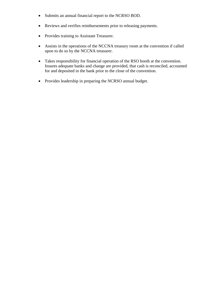- Submits an annual financial report to the NCRSO BOD.
- Reviews and verifies reimbursements prior to releasing payments.
- Provides training to Assistant Treasurer.
- Assists in the operations of the NCCNA treasury room at the convention if called upon to do so by the NCCNA treasurer.
- Takes responsibility for financial operation of the RSO booth at the convention. Insures adequate banks and change are provided, that cash is reconciled, accounted for and deposited in the bank prior to the close of the convention.
- Provides leadership in preparing the NCRSO annual budget.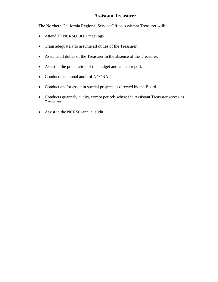## **Assistant Treasurer**

The Northern California Regional Service Office Assistant Treasurer will:

- Attend all NCRSO BOD meetings.
- Train adequately to assume all duties of the Treasurer.
- Assume all duties of the Treasurer in the absence of the Treasurer.
- Assist in the preparation of the budget and annual report.
- Conduct the annual audit of NCCNA.
- Conduct and/or assist in special projects as directed by the Board.
- Conducts quarterly audits, except periods where the Assistant Treasurer serves as Treasurer.
- Assist in the NCRSO annual audit.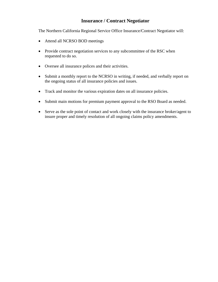## **Insurance / Contract Negotiator**

The Northern California Regional Service Office Insurance/Contract Negotiator will:

- Attend all NCRSO BOD meetings
- Provide contract negotiation services to any subcommittee of the RSC when requested to do so.
- Oversee all insurance polices and their activities.
- Submit a monthly report to the NCRSO in writing, if needed, and verbally report on the ongoing status of all insurance policies and issues.
- Track and monitor the various expiration dates on all insurance policies.
- Submit main motions for premium payment approval to the RSO Board as needed.
- Serve as the sole point of contact and work closely with the insurance broker/agent to insure proper and timely resolution of all ongoing claims policy amendments.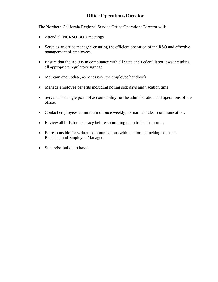## **Office Operations Director**

The Northern California Regional Service Office Operations Director will:

- Attend all NCRSO BOD meetings.
- Serve as an office manager, ensuring the efficient operation of the RSO and effective management of employees.
- Ensure that the RSO is in compliance with all State and Federal labor laws including all appropriate regulatory signage.
- Maintain and update, as necessary, the employee handbook.
- Manage employee benefits including noting sick days and vacation time.
- Serve as the single point of accountability for the administration and operations of the office.
- Contact employees a minimum of once weekly, to maintain clear communication.
- Review all bills for accuracy before submitting them to the Treasurer.
- Be responsible for written communications with landlord, attaching copies to President and Employee Manager.
- Supervise bulk purchases.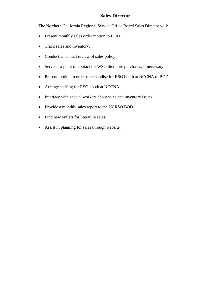## **Sales Director**

The Northern California Regional Service Office Board Sales Director will:

- Present monthly sales order motion to BOD.
- Track sales and inventory.
- Conduct an annual review of sales policy.
- Serve as a point of contact for WSO literature purchases, if necessary.
- Present motion to order merchandise for RSO booth at NCCNA to BOD.
- Arrange staffing for RSO booth at NCCNA.
- Interface with special workers about sales and inventory issues.
- Provide a monthly sales report to the NCRSO BOD.
- Find new outlets for literature sales.
- Assist in planning for sales through website.